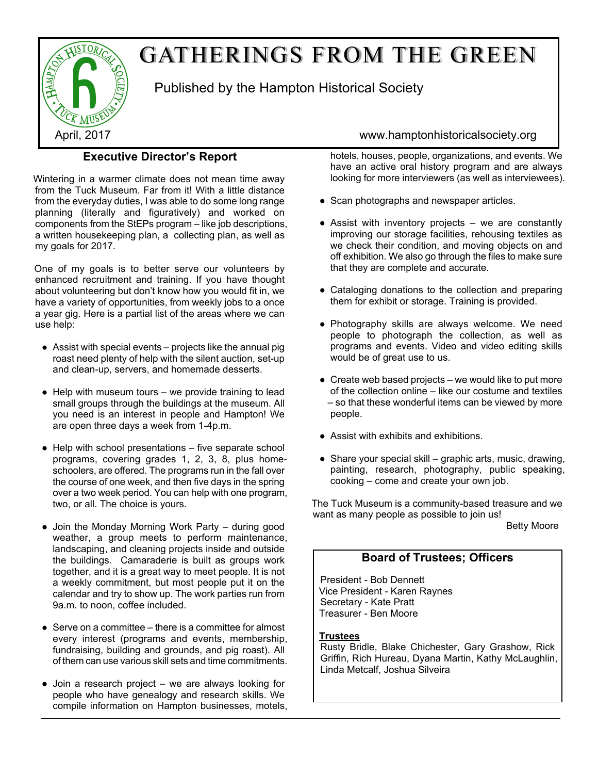

# GATHERINGS FROM THE GREEN

Published by the Hampton Historical Society

### **Executive Director's Report**

Wintering in a warmer climate does not mean time away from the Tuck Museum. Far from it! With a little distance from the everyday duties, I was able to do some long range planning (literally and figuratively) and worked on components from the StEPs program – like job descriptions, a written housekeeping plan, a collecting plan, as well as my goals for 2017.

One of my goals is to better serve our volunteers by enhanced recruitment and training. If you have thought about volunteering but don't know how you would fit in, we have a variety of opportunities, from weekly jobs to a once a year gig. Here is a partial list of the areas where we can use help:

- Assist with special events projects like the annual pig roast need plenty of help with the silent auction, set-up and clean-up, servers, and homemade desserts.
- $\bullet$  Help with museum tours we provide training to lead small groups through the buildings at the museum. All you need is an interest in people and Hampton! We are open three days a week from 1-4p.m.
- $\bullet$  Help with school presentations five separate school programs, covering grades 1, 2, 3, 8, plus homeschoolers, are offered. The programs run in the fall over the course of one week, and then five days in the spring over a two week period. You can help with one program, two, or all. The choice is yours.
- Join the Monday Morning Work Party during good weather, a group meets to perform maintenance, landscaping, and cleaning projects inside and outside the buildings. Camaraderie is built as groups work together, and it is a great way to meet people. It is not a weekly commitment, but most people put it on the calendar and try to show up. The work parties run from 9a.m. to noon, coffee included.
- Serve on a committee there is a committee for almost every interest (programs and events, membership, fundraising, building and grounds, and pig roast). All of them can use various skill sets and time commitments.
- $\bullet$  Join a research project we are always looking for people who have genealogy and research skills. We compile information on Hampton businesses, motels,

### April, 2017 www.hamptonhistoricalsociety.org

hotels, houses, people, organizations, and events. We have an active oral history program and are always looking for more interviewers (as well as interviewees).

- Scan photographs and newspaper articles.
- Assist with inventory projects we are constantly improving our storage facilities, rehousing textiles as we check their condition, and moving objects on and off exhibition. We also go through the files to make sure that they are complete and accurate.
- Cataloging donations to the collection and preparing them for exhibit or storage. Training is provided.
- Photography skills are always welcome. We need people to photograph the collection, as well as programs and events. Video and video editing skills would be of great use to us.
- Create web based projects we would like to put more of the collection online – like our costume and textiles – so that these wonderful items can be viewed by more people.
- Assist with exhibits and exhibitions.
- $\bullet$  Share your special skill graphic arts, music, drawing, painting, research, photography, public speaking, cooking – come and create your own job.

The Tuck Museum is a community-based treasure and we want as many people as possible to join us!

Betty Moore

#### **Board of Trustees; Officers**

President - Bob Dennett Vice President - Karen Raynes Secretary - Kate Pratt Treasurer - Ben Moore

#### **Trustees**

Rusty Bridle, Blake Chichester, Gary Grashow, Rick Griffin, Rich Hureau, Dyana Martin, Kathy McLaughlin, Linda Metcalf, Joshua Silveira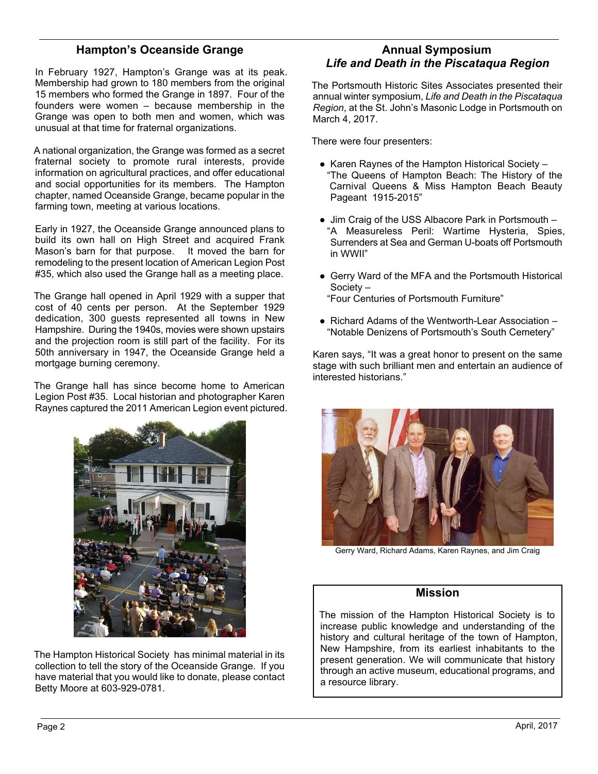### **Hampton's Oceanside Grange**

In February 1927, Hampton's Grange was at its peak. Membership had grown to 180 members from the original 15 members who formed the Grange in 1897. Four of the founders were women – because membership in the Grange was open to both men and women, which was unusual at that time for fraternal organizations.

A national organization, the Grange was formed as a secret fraternal society to promote rural interests, provide information on agricultural practices, and offer educational and social opportunities for its members. The Hampton chapter, named Oceanside Grange, became popular in the farming town, meeting at various locations.

Early in 1927, the Oceanside Grange announced plans to build its own hall on High Street and acquired Frank Mason's barn for that purpose. It moved the barn for remodeling to the present location of American Legion Post #35, which also used the Grange hall as a meeting place.

The Grange hall opened in April 1929 with a supper that cost of 40 cents per person. At the September 1929 dedication, 300 guests represented all towns in New Hampshire. During the 1940s, movies were shown upstairs and the projection room is still part of the facility. For its 50th anniversary in 1947, the Oceanside Grange held a mortgage burning ceremony.

The Grange hall has since become home to American Legion Post #35. Local historian and photographer Karen Raynes captured the 2011 American Legion event pictured.



The Hampton Historical Society has minimal material in its collection to tell the story of the Oceanside Grange. If you have material that you would like to donate, please contact Betty Moore at 603-929-0781.

#### **Annual Symposium** *Life and Death in the Piscataqua Region*

The Portsmouth Historic Sites Associates presented their annual winter symposium, *Life and Death in the Piscataqua Region*, at the St. John's Masonic Lodge in Portsmouth on March 4, 2017.

There were four presenters:

- Karen Raynes of the Hampton Historical Society "The Queens of Hampton Beach: The History of the Carnival Queens & Miss Hampton Beach Beauty Pageant 1915-2015"
- Jim Craig of the USS Albacore Park in Portsmouth "A Measureless Peril: Wartime Hysteria, Spies, Surrenders at Sea and German U-boats off Portsmouth in WWII"
- Gerry Ward of the MFA and the Portsmouth Historical Society – "Four Centuries of Portsmouth Furniture"
- Richard Adams of the Wentworth-Lear Association "Notable Denizens of Portsmouth's South Cemetery"

Karen says, "It was a great honor to present on the same stage with such brilliant men and entertain an audience of interested historians."



Gerry Ward, Richard Adams, Karen Raynes, and Jim Craig

#### **Mission**

The mission of the Hampton Historical Society is to increase public knowledge and understanding of the history and cultural heritage of the town of Hampton, New Hampshire, from its earliest inhabitants to the present generation. We will communicate that history through an active museum, educational programs, and a resource library.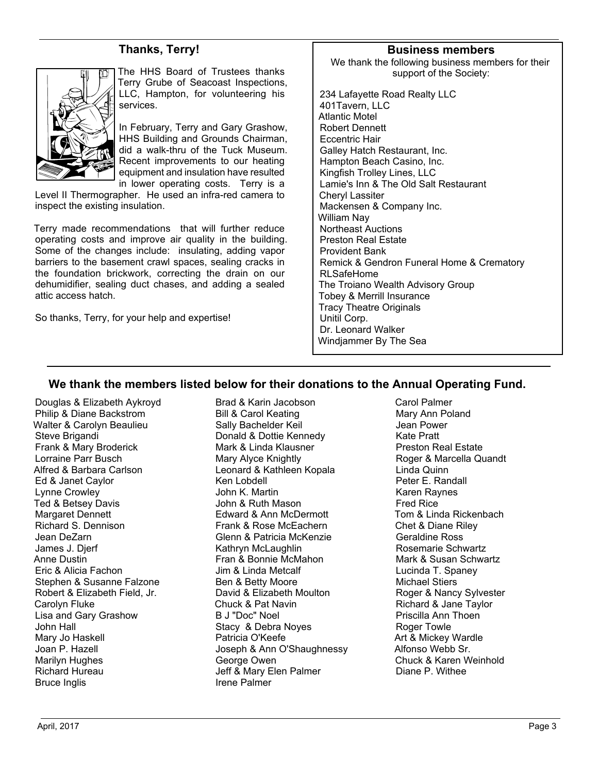#### **Thanks, Terry!**



The HHS Board of Trustees thanks Terry Grube of Seacoast Inspections, LLC, Hampton, for volunteering his services.

In February, Terry and Gary Grashow, HHS Building and Grounds Chairman, did a walk-thru of the Tuck Museum. Recent improvements to our heating equipment and insulation have resulted in lower operating costs. Terry is a

Level II Thermographer. He used an infra-red camera to inspect the existing insulation.

Terry made recommendations that will further reduce operating costs and improve air quality in the building. Some of the changes include: insulating, adding vapor barriers to the basement crawl spaces, sealing cracks in the foundation brickwork, correcting the drain on our dehumidifier, sealing duct chases, and adding a sealed attic access hatch.

So thanks, Terry, for your help and expertise!

#### **Business members**

We thank the following business members for their support of the Society:

234 Lafayette Road Realty LLC 401Tavern, LLC Atlantic Motel Robert Dennett Eccentric Hair Galley Hatch Restaurant, Inc. Hampton Beach Casino, Inc. Kingfish Trolley Lines, LLC Lamie's Inn & The Old Salt Restaurant Cheryl Lassiter Mackensen & Company Inc. William Nay Northeast Auctions Preston Real Estate Provident Bank Remick & Gendron Funeral Home & Crematory RLSafeHome The Troiano Wealth Advisory Group Tobey & Merrill Insurance Tracy Theatre Originals Unitil Corp. Dr. Leonard Walker Windjammer By The Sea

#### **We thank the members listed below for their donations to the Annual Operating Fund.**

Douglas & Elizabeth Aykroyd Philip & Diane Backstrom Walter & Carolyn Beaulieu Steve Brigandi Frank & Mary Broderick Lorraine Parr Busch Alfred & Barbara Carlson Ed & Janet Caylor Lynne Crowley Ted & Betsey Davis Margaret Dennett Richard S. Dennison Jean DeZarn James J. Djerf Anne Dustin Eric & Alicia Fachon Stephen & Susanne Falzone Robert & Elizabeth Field, Jr. Carolyn Fluke Lisa and Gary Grashow John Hall Mary Jo Haskell Joan P. Hazell Marilyn Hughes Richard Hureau Bruce Inglis

Brad & Karin Jacobson Bill & Carol Keating Sally Bachelder Keil Donald & Dottie Kennedy Mark & Linda Klausner Mary Alyce Knightly Leonard & Kathleen Kopala Ken Lobdell John K. Martin John & Ruth Mason Edward & Ann McDermott Frank & Rose McEachern Glenn & Patricia McKenzie Kathryn McLaughlin Fran & Bonnie McMahon Jim & Linda Metcalf Ben & Betty Moore David & Elizabeth Moulton Chuck & Pat Navin B J "Doc" Noel Stacy & Debra Noyes Patricia O'Keefe Joseph & Ann O'Shaughnessy George Owen Jeff & Mary Elen Palmer Irene Palmer

Carol Palmer Mary Ann Poland Jean Power Kate Pratt Preston Real Estate Roger & Marcella Quandt Linda Quinn Peter E. Randall Karen Raynes Fred Rice Tom & Linda Rickenbach Chet & Diane Riley Geraldine Ross Rosemarie Schwartz Mark & Susan Schwartz Lucinda T. Spaney Michael Stiers Roger & Nancy Sylvester Richard & Jane Taylor Priscilla Ann Thoen Roger Towle Art & Mickey Wardle Alfonso Webb Sr. Chuck & Karen Weinhold Diane P. Withee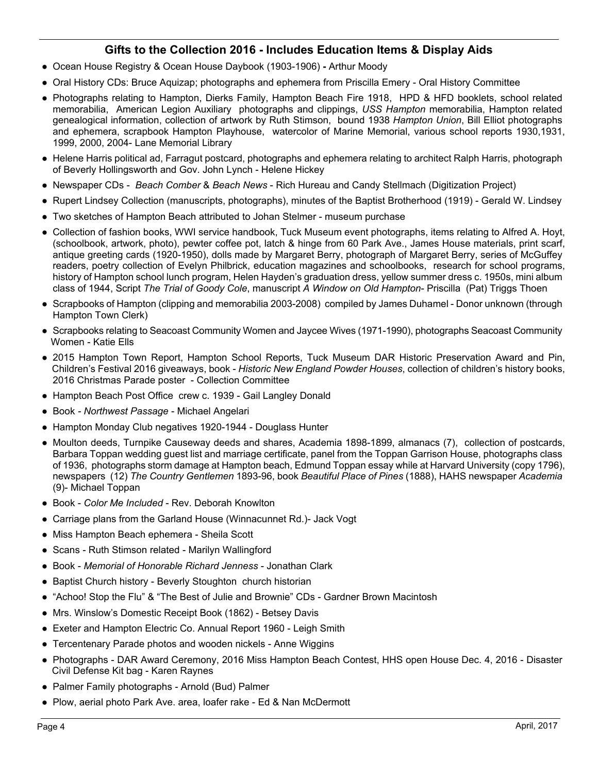## **Gifts to the Collection 2016 - Includes Education Items & Display Aids**

- Ocean House Registry & Ocean House Daybook (1903-1906) Arthur Moody
- Oral History CDs: Bruce Aquizap; photographs and ephemera from Priscilla Emery Oral History Committee
- Photographs relating to Hampton, Dierks Family, Hampton Beach Fire 1918, HPD & HFD booklets, school related memorabilia, American Legion Auxiliary photographs and clippings, *USS Hampton* memorabilia, Hampton related genealogical information, collection of artwork by Ruth Stimson, bound 1938 *Hampton Union*, Bill Elliot photographs and ephemera, scrapbook Hampton Playhouse, watercolor of Marine Memorial, various school reports 1930,1931, 1999, 2000, 2004- Lane Memorial Library
- Helene Harris political ad, Farragut postcard, photographs and ephemera relating to architect Ralph Harris, photograph of Beverly Hollingsworth and Gov. John Lynch - Helene Hickey
- Newspaper CDs *Beach Comber* & *Beach News* Rich Hureau and Candy Stellmach (Digitization Project)
- Rupert Lindsey Collection (manuscripts, photographs), minutes of the Baptist Brotherhood (1919) Gerald W. Lindsey
- Two sketches of Hampton Beach attributed to Johan Stelmer museum purchase
- Collection of fashion books, WWI service handbook, Tuck Museum event photographs, items relating to Alfred A. Hoyt, (schoolbook, artwork, photo), pewter coffee pot, latch & hinge from 60 Park Ave., James House materials, print scarf, antique greeting cards (1920-1950), dolls made by Margaret Berry, photograph of Margaret Berry, series of McGuffey readers, poetry collection of Evelyn Philbrick, education magazines and schoolbooks, research for school programs, history of Hampton school lunch program, Helen Hayden's graduation dress, yellow summer dress c. 1950s, mini album class of 1944, Script *The Trial of Goody Cole*, manuscript *A Window on Old Hampton*- Priscilla (Pat) Triggs Thoen
- Scrapbooks of Hampton (clipping and memorabilia 2003-2008) compiled by James Duhamel Donor unknown (through Hampton Town Clerk)
- Scrapbooks relating to Seacoast Community Women and Jaycee Wives (1971-1990), photographs Seacoast Community Women - Katie Ells
- 2015 Hampton Town Report, Hampton School Reports, Tuck Museum DAR Historic Preservation Award and Pin, Children's Festival 2016 giveaways, book - *Historic New England Powder Houses*, collection of children's history books, 2016 Christmas Parade poster - Collection Committee
- Hampton Beach Post Office crew c. 1939 Gail Langley Donald
- Book  *Northwest Passage* Michael Angelari
- Hampton Monday Club negatives 1920-1944 Douglass Hunter
- Moulton deeds, Turnpike Causeway deeds and shares, Academia 1898-1899, almanacs (7), collection of postcards, Barbara Toppan wedding guest list and marriage certificate, panel from the Toppan Garrison House, photographs class of 1936, photographs storm damage at Hampton beach, Edmund Toppan essay while at Harvard University (copy 1796), newspapers (12) *The Country Gentlemen* 1893-96, book *Beautiful Place of Pines* (1888), HAHS newspaper *Academia* (9)- Michael Toppan
- Book *Color Me Included* Rev. Deborah Knowlton
- Carriage plans from the Garland House (Winnacunnet Rd.)- Jack Vogt
- Miss Hampton Beach ephemera Sheila Scott
- Scans Ruth Stimson related Marilyn Wallingford
- Book *Memorial of Honorable Richard Jenness* Jonathan Clark
- Baptist Church history Beverly Stoughton church historian
- "Achoo! Stop the Flu" & "The Best of Julie and Brownie" CDs Gardner Brown Macintosh
- Mrs. Winslow's Domestic Receipt Book (1862) Betsey Davis
- Exeter and Hampton Electric Co. Annual Report 1960 Leigh Smith
- Tercentenary Parade photos and wooden nickels Anne Wiggins
- Photographs DAR Award Ceremony, 2016 Miss Hampton Beach Contest, HHS open House Dec. 4, 2016 Disaster Civil Defense Kit bag - Karen Raynes
- Palmer Family photographs Arnold (Bud) Palmer
- Plow, aerial photo Park Ave. area, loafer rake Ed & Nan McDermott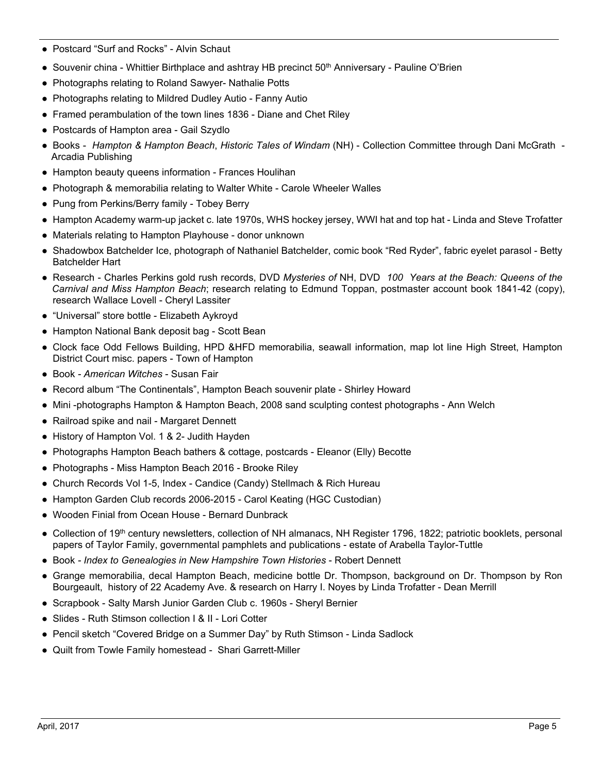- Postcard "Surf and Rocks" Alvin Schaut
- Souvenir china Whittier Birthplace and ashtray HB precinct 50<sup>th</sup> Anniversary Pauline O'Brien
- Photographs relating to Roland Sawyer- Nathalie Potts
- Photographs relating to Mildred Dudley Autio Fanny Autio
- Framed perambulation of the town lines 1836 Diane and Chet Riley
- Postcards of Hampton area Gail Szydlo
- Books *Hampton & Hampton Beach*, *Historic Tales of Windam* (NH) Collection Committee through Dani McGrath Arcadia Publishing
- Hampton beauty queens information Frances Houlihan
- Photograph & memorabilia relating to Walter White Carole Wheeler Walles
- Pung from Perkins/Berry family Tobey Berry
- Hampton Academy warm-up jacket c. late 1970s, WHS hockey jersey, WWI hat and top hat Linda and Steve Trofatter
- Materials relating to Hampton Playhouse donor unknown
- Shadowbox Batchelder Ice, photograph of Nathaniel Batchelder, comic book "Red Ryder", fabric eyelet parasol Betty Batchelder Hart
- Research Charles Perkins gold rush records, DVD *Mysteries of* NH, DVD *100 Years at the Beach: Queens of the Carnival and Miss Hampton Beach*; research relating to Edmund Toppan, postmaster account book 1841-42 (copy), research Wallace Lovell - Cheryl Lassiter
- "Universal" store bottle Elizabeth Aykroyd
- Hampton National Bank deposit bag Scott Bean
- Clock face Odd Fellows Building, HPD &HFD memorabilia, seawall information, map lot line High Street, Hampton District Court misc. papers - Town of Hampton
- Book  *American Witches*  Susan Fair
- Record album "The Continentals", Hampton Beach souvenir plate Shirley Howard
- Mini -photographs Hampton & Hampton Beach, 2008 sand sculpting contest photographs Ann Welch
- Railroad spike and nail Margaret Dennett
- History of Hampton Vol. 1 & 2- Judith Hayden
- Photographs Hampton Beach bathers & cottage, postcards Eleanor (Elly) Becotte
- Photographs Miss Hampton Beach 2016 Brooke Riley
- Church Records Vol 1-5, Index Candice (Candy) Stellmach & Rich Hureau
- Hampton Garden Club records 2006-2015 Carol Keating (HGC Custodian)
- Wooden Finial from Ocean House Bernard Dunbrack
- Collection of 19<sup>th</sup> century newsletters, collection of NH almanacs, NH Register 1796, 1822; patriotic booklets, personal papers of Taylor Family, governmental pamphlets and publications - estate of Arabella Taylor-Tuttle
- Book  *Index to Genealogies in New Hampshire Town Histories*  Robert Dennett
- Grange memorabilia, decal Hampton Beach, medicine bottle Dr. Thompson, background on Dr. Thompson by Ron Bourgeault, history of 22 Academy Ave. & research on Harry I. Noyes by Linda Trofatter - Dean Merrill
- Scrapbook Salty Marsh Junior Garden Club c. 1960s Sheryl Bernier
- Slides Ruth Stimson collection I & II Lori Cotter
- Pencil sketch "Covered Bridge on a Summer Day" by Ruth Stimson Linda Sadlock
- Quilt from Towle Family homestead Shari Garrett-Miller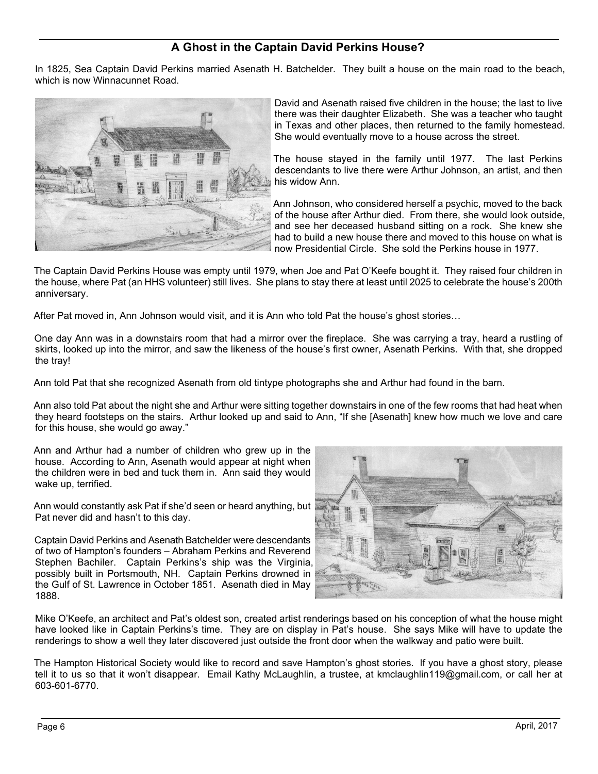# **A Ghost in the Captain David Perkins House?**

In 1825, Sea Captain David Perkins married Asenath H. Batchelder. They built a house on the main road to the beach, which is now Winnacunnet Road.



David and Asenath raised five children in the house; the last to live there was their daughter Elizabeth. She was a teacher who taught in Texas and other places, then returned to the family homestead. She would eventually move to a house across the street.

The house stayed in the family until 1977. The last Perkins descendants to live there were Arthur Johnson, an artist, and then his widow Ann.

Ann Johnson, who considered herself a psychic, moved to the back of the house after Arthur died. From there, she would look outside, and see her deceased husband sitting on a rock. She knew she had to build a new house there and moved to this house on what is now Presidential Circle. She sold the Perkins house in 1977.

The Captain David Perkins House was empty until 1979, when Joe and Pat O'Keefe bought it. They raised four children in the house, where Pat (an HHS volunteer) still lives. She plans to stay there at least until 2025 to celebrate the house's 200th anniversary.

After Pat moved in, Ann Johnson would visit, and it is Ann who told Pat the house's ghost stories…

One day Ann was in a downstairs room that had a mirror over the fireplace. She was carrying a tray, heard a rustling of skirts, looked up into the mirror, and saw the likeness of the house's first owner, Asenath Perkins. With that, she dropped the tray!

Ann told Pat that she recognized Asenath from old tintype photographs she and Arthur had found in the barn.

Ann also told Pat about the night she and Arthur were sitting together downstairs in one of the few rooms that had heat when they heard footsteps on the stairs. Arthur looked up and said to Ann, "If she [Asenath] knew how much we love and care for this house, she would go away."

Ann and Arthur had a number of children who grew up in the house. According to Ann, Asenath would appear at night when the children were in bed and tuck them in. Ann said they would wake up, terrified.

Ann would constantly ask Pat if she'd seen or heard anything, but Pat never did and hasn't to this day.

Captain David Perkins and Asenath Batchelder were descendants of two of Hampton's founders – Abraham Perkins and Reverend Stephen Bachiler. Captain Perkins's ship was the Virginia, possibly built in Portsmouth, NH. Captain Perkins drowned in the Gulf of St. Lawrence in October 1851. Asenath died in May 1888.



Mike O'Keefe, an architect and Pat's oldest son, created artist renderings based on his conception of what the house might have looked like in Captain Perkins's time. They are on display in Pat's house. She says Mike will have to update the renderings to show a well they later discovered just outside the front door when the walkway and patio were built.

The Hampton Historical Society would like to record and save Hampton's ghost stories. If you have a ghost story, please tell it to us so that it won't disappear. Email Kathy McLaughlin, a trustee, at kmclaughlin119@gmail.com, or call her at 603-601-6770.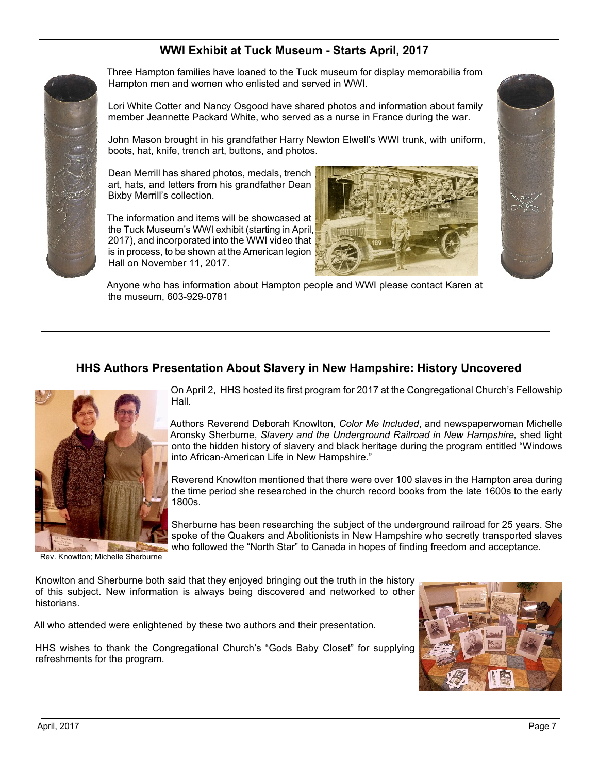# **WWI Exhibit at Tuck Museum - Starts April, 2017**



Three Hampton families have loaned to the Tuck museum for display memorabilia from Hampton men and women who enlisted and served in WWI.

Lori White Cotter and Nancy Osgood have shared photos and information about family member Jeannette Packard White, who served as a nurse in France during the war.

John Mason brought in his grandfather Harry Newton Elwell's WWI trunk, with uniform, boots, hat, knife, trench art, buttons, and photos.

Dean Merrill has shared photos, medals, trench art, hats, and letters from his grandfather Dean Bixby Merrill's collection.

The information and items will be showcased at the Tuck Museum's WWI exhibit (starting in April, 2017), and incorporated into the WWI video that is in process, to be shown at the American legion Hall on November 11, 2017.





Anyone who has information about Hampton people and WWI please contact Karen at the museum, 603-929-0781

## **HHS Authors Presentation About Slavery in New Hampshire: History Uncovered**



On April 2, HHS hosted its first program for 2017 at the Congregational Church's Fellowship Hall.

Authors Reverend Deborah Knowlton, *Color Me Included*, and newspaperwoman Michelle Aronsky Sherburne, *Slavery and the Underground Railroad in New Hampshire,* shed light onto the hidden history of slavery and black heritage during the program entitled "Windows into African-American Life in New Hampshire."

Reverend Knowlton mentioned that there were over 100 slaves in the Hampton area during the time period she researched in the church record books from the late 1600s to the early 1800s.

Sherburne has been researching the subject of the underground railroad for 25 years. She spoke of the Quakers and Abolitionists in New Hampshire who secretly transported slaves who followed the "North Star" to Canada in hopes of finding freedom and acceptance.

Rev. Knowlton; Michelle Sherburne

Knowlton and Sherburne both said that they enjoyed bringing out the truth in the history of this subject. New information is always being discovered and networked to other historians.

All who attended were enlightened by these two authors and their presentation.

HHS wishes to thank the Congregational Church's "Gods Baby Closet" for supplying refreshments for the program.